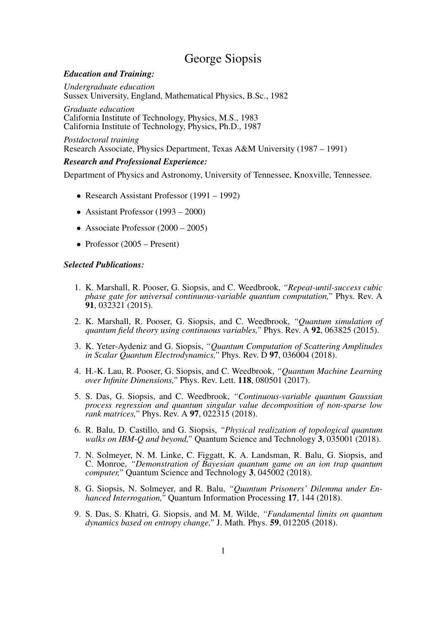# George Siopsis

# *Education and Training:*

*Undergraduate education* Sussex University, England, Mathematical Physics, B.Sc., 1982

*Graduate education* California Institute of Technology, Physics, M.S., 1983 California Institute of Technology, Physics, Ph.D., 1987

*Postdoctoral training* Research Associate, Physics Department, Texas A&M University (1987 – 1991)

## *Research and Professional Experience:*

Department of Physics and Astronomy, University of Tennessee, Knoxville, Tennessee.

- Research Assistant Professor (1991 1992)
- Assistant Professor (1993 2000)
- Associate Professor (2000 2005)
- Professor (2005 Present)

## *Selected Publications:*

- 1. K. Marshall, R. Pooser, G. Siopsis, and C. Weedbrook, *"Repeat-until-success cubic phase gate for universal continuous-variable quantum computation,"* Phys. Rev. A 91, 032321 (2015).
- 2. K. Marshall, R. Pooser, G. Siopsis, and C. Weedbrook, *"Quantum simulation of quantum field theory using continuous variables,"* Phys. Rev. A 92, 063825 (2015).
- 3. K. Yeter-Aydeniz and G. Siopsis, *"Quantum Computation of Scattering Amplitudes in Scalar Quantum Electrodynamics*," Phys. Rev. D 97, 036004 (2018).
- 4. H.-K. Lau, R. Pooser, G. Siopsis, and C. Weedbrook, *"Quantum Machine Learning over Infinite Dimensions,"* Phys. Rev. Lett. 118, 080501 (2017).
- 5. S. Das, G. Siopsis, and C. Weedbrook, *"Continuous-variable quantum Gaussian process regression and quantum singular value decomposition of non-sparse low rank matrices,"* Phys. Rev. A 97, 022315 (2018).
- 6. R. Balu, D. Castillo, and G. Siopsis, *"Physical realization of topological quantum walks on IBM-Q and beyond,"* Quantum Science and Technology 3, 035001 (2018).
- 7. N. Solmeyer, N. M. Linke, C. Figgatt, K. A. Landsman, R. Balu, G. Siopsis, and C. Monroe, *"Demonstration of Bayesian quantum game on an ion trap quantum computer,"* Quantum Science and Technology 3, 045002 (2018).
- 8. G. Siopsis, N. Solmeyer, and R. Balu, *"Quantum Prisoners' Dilemma under Enhanced Interrogation*," Quantum Information Processing 17, 144 (2018).
- 9. S. Das, S. Khatri, G. Siopsis, and M. M. Wilde, *"Fundamental limits on quantum dynamics based on entropy change,"* J. Math. Phys. 59, 012205 (2018).